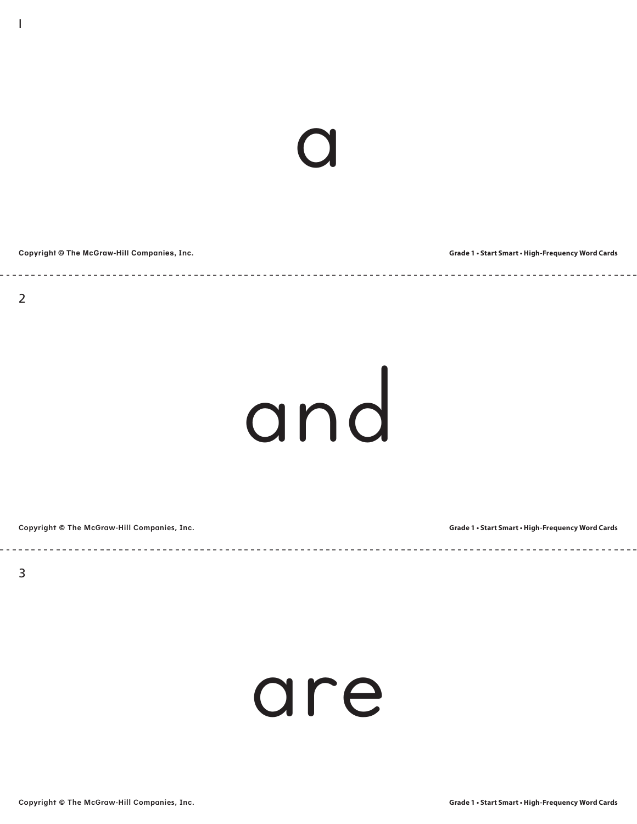# a

**Copyright © The McGraw-Hill Companies, Inc.**

**Grade 1 • Start Smart • High-Frequency Word Cards**

1

### and

\_\_\_\_\_\_\_\_\_\_\_\_\_\_\_\_\_\_\_\_\_\_

**Copyright © The McGraw-Hill Companies, Inc.**

**Grade 1 • Start Smart • High-Frequency Word Cards**

#### are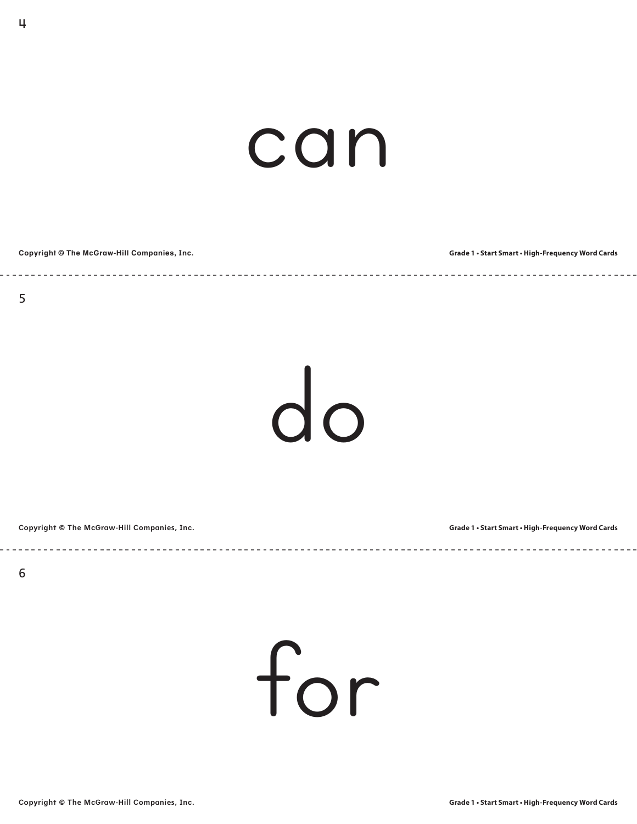#### can

| Copyright © The McGraw-Hill Companies, Inc. | <b>Grade 1 • Start Smart • High-Frequency Word Cards</b> |
|---------------------------------------------|----------------------------------------------------------|

4

do

**Copyright © The McGraw-Hill Companies, Inc.**

**Grade 1 • Start Smart • High-Frequency Word Cards**

for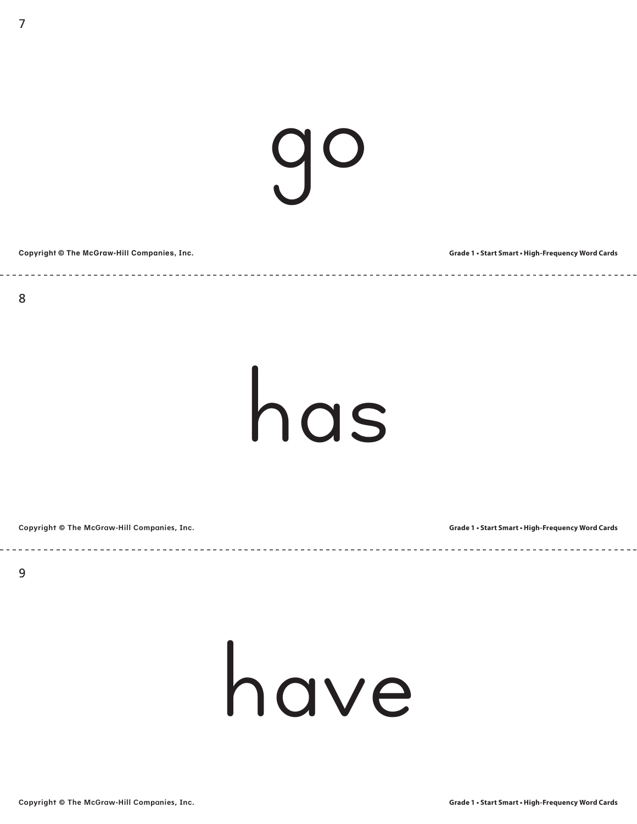### go

**Copyright © The McGraw-Hill Companies, Inc. Grade 1 • Start Smart • High-Frequency Word Cards**

has

**Copyright © The McGraw-Hill Companies, Inc.**

**Grade 1 • Start Smart • High-Frequency Word Cards**

#### have

<u> - - - - - - - - - - -</u>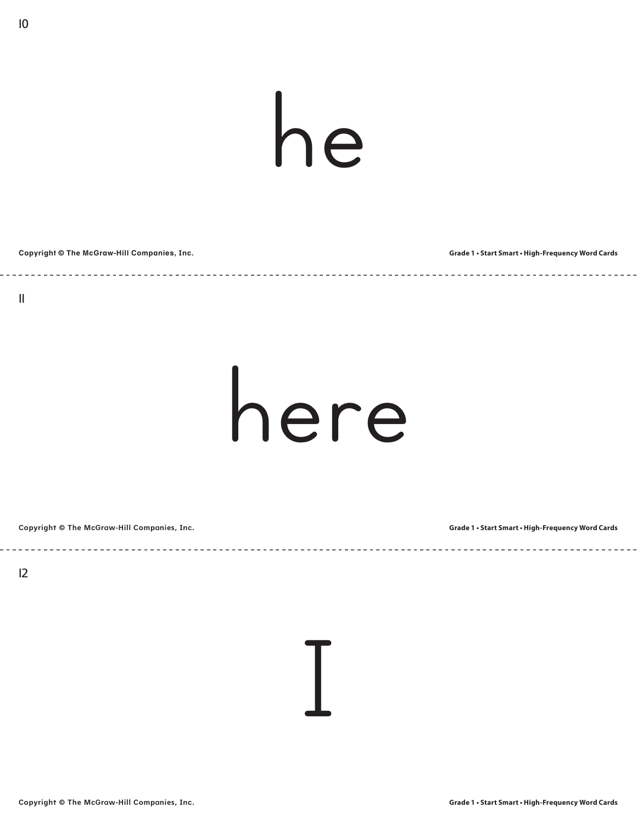### he

#### **Copyright © The McGraw-Hill Companies, Inc. Grade 1 • Start Smart • High-Frequency Word Cards**

10

#### here

**Copyright © The McGraw-Hill Companies, Inc.**

**Grade 1 • Start Smart • High-Frequency Word Cards**

12

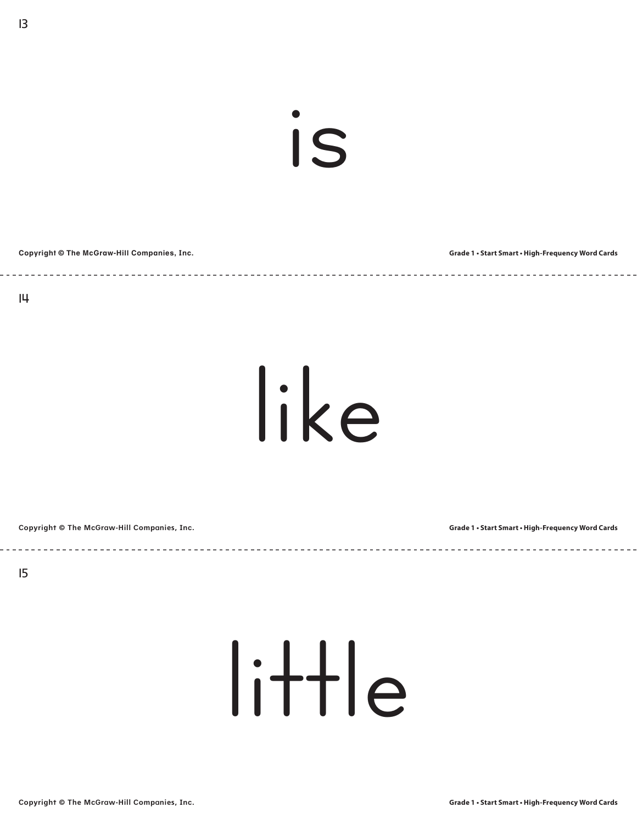is

**Copyright © The McGraw-Hill Companies, Inc. Grade 1 • Start Smart • High-Frequency Word Cards**

like

**Copyright © The McGraw-Hill Companies, Inc.**

**Grade 1 • Start Smart • High-Frequency Word Cards**

15

little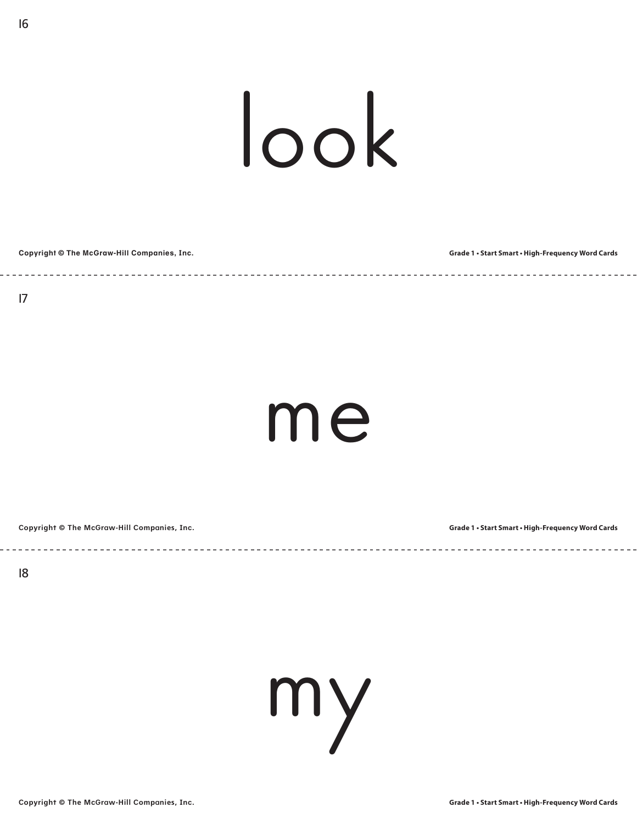### look

| Copyright © The McGraw-Hill Companies, Inc. | Grade 1 . Start Smart . High-Frequency Word Cards |
|---------------------------------------------|---------------------------------------------------|
|                                             |                                                   |

16

#### me

 $\frac{1}{2} \left( \frac{1}{2} \right) \left( \frac{1}{2} \right) \left( \frac{1}{2} \right) \left( \frac{1}{2} \right) \left( \frac{1}{2} \right) \left( \frac{1}{2} \right) \left( \frac{1}{2} \right) \left( \frac{1}{2} \right) \left( \frac{1}{2} \right) \left( \frac{1}{2} \right) \left( \frac{1}{2} \right) \left( \frac{1}{2} \right) \left( \frac{1}{2} \right) \left( \frac{1}{2} \right) \left( \frac{1}{2} \right) \left( \frac{1}{2} \right) \left( \frac$ 

**Copyright © The McGraw-Hill Companies, Inc.**

**Grade 1 • Start Smart • High-Frequency Word Cards**

18

my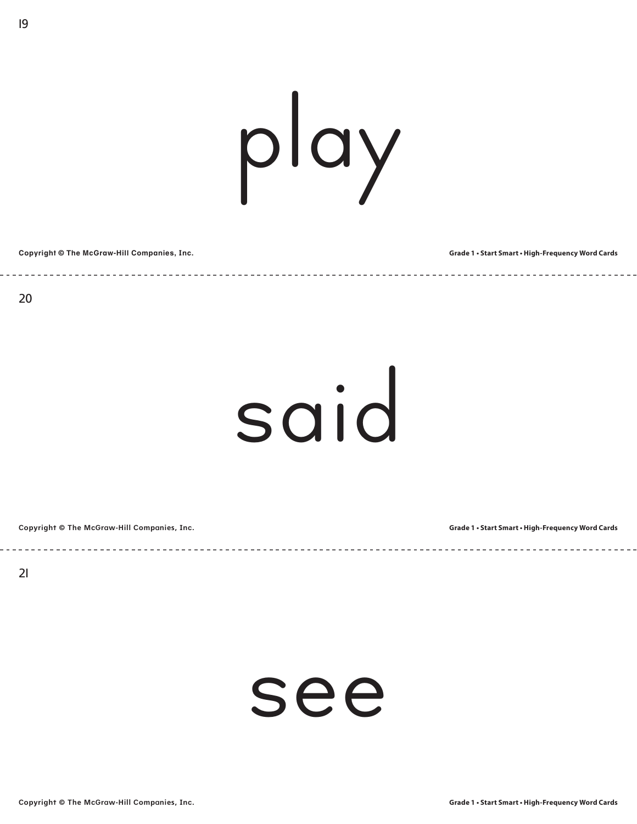# play

**Copyright © The McGraw-Hill Companies, Inc. Grade 1 • Start Smart • High-Frequency Word Cards**

19

#### said

**Copyright © The McGraw-Hill Companies, Inc.**

**Grade 1 • Start Smart • High-Frequency Word Cards**

21

#### see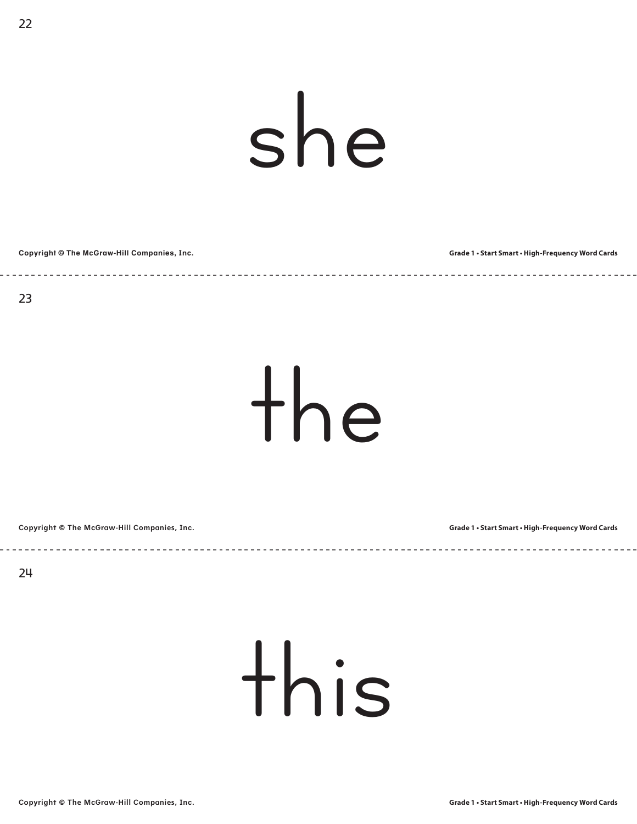## she

**Copyright © The McGraw-Hill Companies, Inc. Grade 1 • Start Smart • High-Frequency Word Cards**

22

the

**Copyright © The McGraw-Hill Companies, Inc.**

**Grade 1 • Start Smart • High-Frequency Word Cards**

24

#### this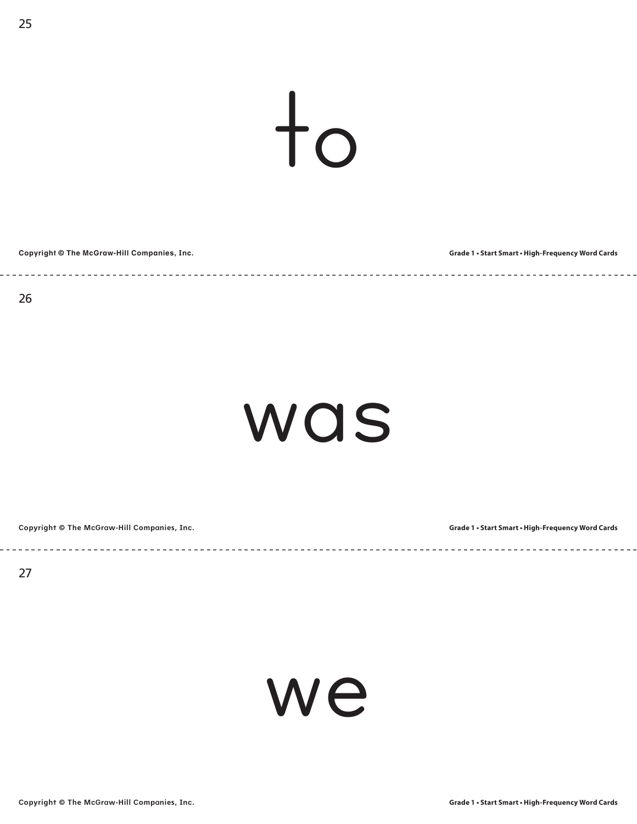$\dfrac{1}{10}$ 

**Copyright © The McGraw-Hill Companies, Inc. Grade 1 • Start Smart • High-Frequency Word Cards**

 $- - - - - -$ 

#### was

<u> - - - - - - - - - -</u>

----------------------

**Copyright © The McGraw-Hill Companies, Inc.**

**Grade 1 • Start Smart • High-Frequency Word Cards**

27

we